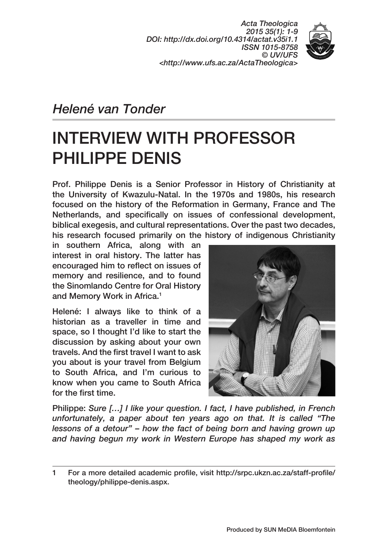*Acta Theologica 2015 35(1): 1‑9 DOI: http://dx.doi.org/10.4314/actat.v35i1.1 ISSN 1015‑8758 © UV/UFS <http://www.ufs.ac.za/ActaTheologica>*



*Helené van Tonder*

# INTERVIEW WITH PROFESSOR PHILIPPE DENIS

Prof. Philippe Denis is a Senior Professor in History of Christianity at the University of Kwazulu-Natal. In the 1970s and 1980s, his research focused on the history of the Reformation in Germany, France and The Netherlands, and specifically on issues of confessional development, biblical exegesis, and cultural representations. Over the past two decades, his research focused primarily on the history of indigenous Christianity

in southern Africa, along with an interest in oral history. The latter has encouraged him to reflect on issues of memory and resilience, and to found the Sinomlando Centre for Oral History and Memory Work in Africa.<sup>1</sup>

Helené: I always like to think of a historian as a traveller in time and space, so I thought I'd like to start the discussion by asking about your own travels. And the first travel I want to ask you about is your travel from Belgium to South Africa, and I'm curious to know when you came to South Africa for the first time.



Philippe: *Sure […] I like your question. I fact, I have published, in French unfortunately, a paper about ten years ago on that. It is called "The lessons of a detour" – how the fact of being born and having grown up and having begun my work in Western Europe has shaped my work as* 

<sup>1</sup> For a more detailed academic profile, visit http://srpc.ukzn.ac.za/staff-profile/ theology/philippe‑denis.aspx.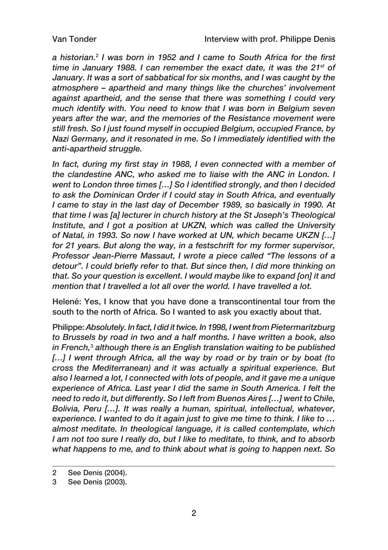*a historian.*<sup>2</sup>  *I was born in 1952 and I came to South Africa for the first time in January 1988. I can remember the exact date, it was the 21st of January. It was a sort of sabbatical for six months, and I was caught by the atmosphere – apartheid and many things like the churches' involvement against apartheid, and the sense that there was something I could very much identify with. You need to know that I was born in Belgium seven years after the war, and the memories of the Resistance movement were still fresh. So I just found myself in occupied Belgium, occupied France, by Nazi Germany, and it resonated in me. So I immediately identified with the anti‑apartheid struggle.* 

*In fact, during my first stay in 1988, I even connected with a member of the clandestine ANC, who asked me to liaise with the ANC in London. I went to London three times […] So I identified strongly, and then I decided to ask the Dominican Order if I could stay in South Africa, and eventually I came to stay in the last day of December 1989, so basically in 1990. At that time I was [a] lecturer in church history at the St Joseph's Theological Institute, and I got a position at UKZN, which was called the University of Natal, in 1993. So now I have worked at UN, which became UKZN […] for 21 years. But along the way, in a festschrift for my former supervisor, Professor Jean‑Pierre Massaut, I wrote a piece called "The lessons of a detour". I could briefly refer to that. But since then, I did more thinking on that. So your question is excellent. I would maybe like to expand [on] it and mention that I travelled a lot all over the world. I have travelled a lot.*

Helené: Yes, I know that you have done a transcontinental tour from the south to the north of Africa. So I wanted to ask you exactly about that.

Philippe: *Absolutely. In fact, I did it twice. In 1998, I went from Pietermaritzburg to Brussels by road in two and a half months. I have written a book, also in French,*<sup>3</sup>  *although there is an English translation waiting to be published*  [...] I went through Africa, all the way by road or by train or by boat (to *cross the Mediterranean) and it was actually a spiritual experience. But also I learned a lot, I connected with lots of people, and it gave me a unique experience of Africa. Last year I did the same in South America. I felt the need to redo it, but differently. So I left from Buenos Aires […] went to Chile, Bolivia, Peru […]. It was really a human, spiritual, intellectual, whatever, experience. I wanted to do it again just to give me time to think. I like to … almost meditate. In theological language, it is called contemplate, which I am not too sure I really do, but I like to meditate, to think, and to absorb what happens to me, and to think about what is going to happen next. So* 

<sup>2</sup> See Denis (2004).

<sup>3</sup> See Denis (2003).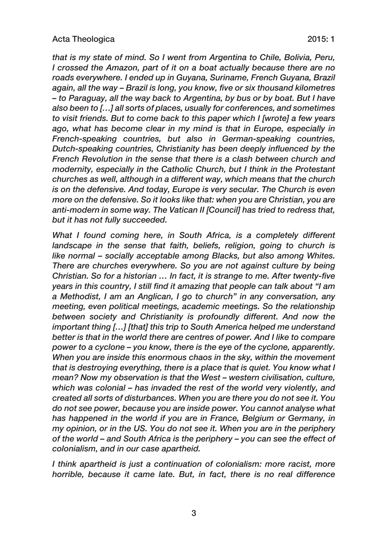*that is my state of mind. So I went from Argentina to Chile, Bolivia, Peru, I crossed the Amazon, part of it on a boat actually because there are no roads everywhere. I ended up in Guyana, Suriname, French Guyana, Brazil again, all the way – Brazil is long, you know, five or six thousand kilometres – to Paraguay, all the way back to Argentina, by bus or by boat. But I have also been to […] all sorts of places, usually for conferences, and sometimes to visit friends. But to come back to this paper which I [wrote] a few years ago, what has become clear in my mind is that in Europe, especially in French‑speaking countries, but also in German‑speaking countries, Dutch‑speaking countries, Christianity has been deeply influenced by the French Revolution in the sense that there is a clash between church and modernity, especially in the Catholic Church, but I think in the Protestant churches as well, although in a different way, which means that the church is on the defensive. And today, Europe is very secular. The Church is even more on the defensive. So it looks like that: when you are Christian, you are anti‑modern in some way. The Vatican II [Council] has tried to redress that, but it has not fully succeeded.* 

*What I found coming here, in South Africa, is a completely different*  landscape in the sense that faith, beliefs, religion, going to church is *like normal – socially acceptable among Blacks, but also among Whites. There are churches everywhere. So you are not against culture by being Christian. So for a historian … In fact, it is strange to me. After twenty‑five years in this country, I still find it amazing that people can talk about "I am a Methodist, I am an Anglican, I go to church" in any conversation, any meeting, even political meetings, academic meetings. So the relationship between society and Christianity is profoundly different. And now the important thing […] [that] this trip to South America helped me understand better is that in the world there are centres of power. And I like to compare power to a cyclone – you know, there is the eye of the cyclone, apparently. When you are inside this enormous chaos in the sky, within the movement that is destroying everything, there is a place that is quiet. You know what I mean? Now my observation is that the West – western civilisation, culture, which was colonial – has invaded the rest of the world very violently, and created all sorts of disturbances. When you are there you do not see it. You do not see power, because you are inside power. You cannot analyse what has happened in the world if you are in France, Belgium or Germany, in my opinion, or in the US. You do not see it. When you are in the periphery of the world – and South Africa is the periphery – you can see the effect of colonialism, and in our case apartheid.* 

*I think apartheid is just a continuation of colonialism: more racist, more horrible, because it came late. But, in fact, there is no real difference*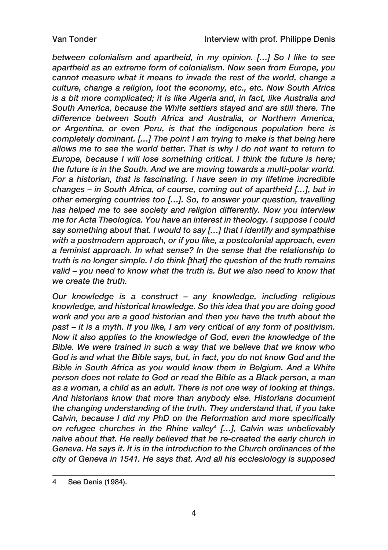*between colonialism and apartheid, in my opinion. […] So I like to see apartheid as an extreme form of colonialism. Now seen from Europe, you cannot measure what it means to invade the rest of the world, change a culture, change a religion, loot the economy, etc., etc. Now South Africa is a bit more complicated; it is like Algeria and, in fact, like Australia and South America, because the White settlers stayed and are still there. The difference between South Africa and Australia, or Northern America, or Argentina, or even Peru, is that the indigenous population here is completely dominant. […] The point I am trying to make is that being here allows me to see the world better. That is why I do not want to return to Europe, because I will lose something critical. I think the future is here; the future is in the South. And we are moving towards a multi‑polar world. For a historian, that is fascinating. I have seen in my lifetime incredible changes – in South Africa, of course, coming out of apartheid […], but in other emerging countries too […]. So, to answer your question, travelling has helped me to see society and religion differently. Now you interview me for Acta Theologica. You have an interest in theology. I suppose I could say something about that. I would to say […] that I identify and sympathise with a postmodern approach, or if you like, a postcolonial approach, even a feminist approach. In what sense? In the sense that the relationship to truth is no longer simple. I do think [that] the question of the truth remains valid – you need to know what the truth is. But we also need to know that we create the truth.* 

*Our knowledge is a construct – any knowledge, including religious knowledge, and historical knowledge. So this idea that you are doing good work and you are a good historian and then you have the truth about the past – it is a myth. If you like, I am very critical of any form of positivism. Now it also applies to the knowledge of God, even the knowledge of the Bible. We were trained in such a way that we believe that we know who God is and what the Bible says, but, in fact, you do not know God and the Bible in South Africa as you would know them in Belgium. And a White person does not relate to God or read the Bible as a Black person, a man as a woman, a child as an adult. There is not one way of looking at things. And historians know that more than anybody else. Historians document the changing understanding of the truth. They understand that, if you take Calvin, because I did my PhD on the Reformation and more specifically on refugee churches in the Rhine valley*<sup>4</sup>  *[…], Calvin was unbelievably naïve about that. He really believed that he re‑created the early church in Geneva. He says it. It is in the introduction to the Church ordinances of the city of Geneva in 1541. He says that. And all his ecclesiology is supposed* 

<sup>4</sup> See Denis (1984).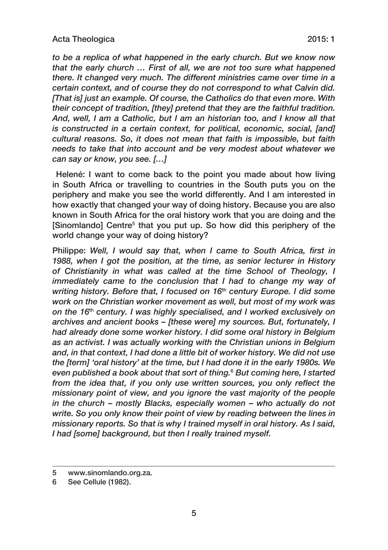# Acta Theologica 2015: 1

*to be a replica of what happened in the early church. But we know now that the early church … First of all, we are not too sure what happened there. It changed very much. The different ministries came over time in a certain context, and of course they do not correspond to what Calvin did. [That is] just an example. Of course, the Catholics do that even more. With their concept of tradition, [they] pretend that they are the faithful tradition. And, well, I am a Catholic, but I am an historian too, and I know all that is constructed in a certain context, for political, economic, social, [and] cultural reasons. So, it does not mean that faith is impossible, but faith needs to take that into account and be very modest about whatever we can say or know, you see. […]*

 Helené: I want to come back to the point you made about how living in South Africa or travelling to countries in the South puts you on the periphery and make you see the world differently. And I am interested in how exactly that changed your way of doing history. Because you are also known in South Africa for the oral history work that you are doing and the [Sinomlando] Centre<sup>5</sup> that you put up. So how did this periphery of the world change your way of doing history?

Philippe: *Well, I would say that, when I came to South Africa, first in 1988, when I got the position, at the time, as senior lecturer in History of Christianity in what was called at the time School of Theology, I immediately came to the conclusion that I had to change my way of writing history. Before that, I focused on 16*th *century Europe. I did some work on the Christian worker movement as well, but most of my work was on the 16*th *century. I was highly specialised, and I worked exclusively on archives and ancient books – [these were] my sources. But, fortunately, I had already done some worker history. I did some oral history in Belgium as an activist. I was actually working with the Christian unions in Belgium and, in that context, I had done a little bit of worker history. We did not use the [term] 'oral history' at the time, but I had done it in the early 1980s. We even published a book about that sort of thing.*<sup>6</sup>  *But coming here, I started from the idea that, if you only use written sources, you only reflect the missionary point of view, and you ignore the vast majority of the people in the church – mostly Blacks, especially women – who actually do not write. So you only know their point of view by reading between the lines in missionary reports. So that is why I trained myself in oral history. As I said, I had [some] background, but then I really trained myself.* 

<sup>5</sup> www.sinomlando.org.za.

<sup>6</sup> See Cellule (1982).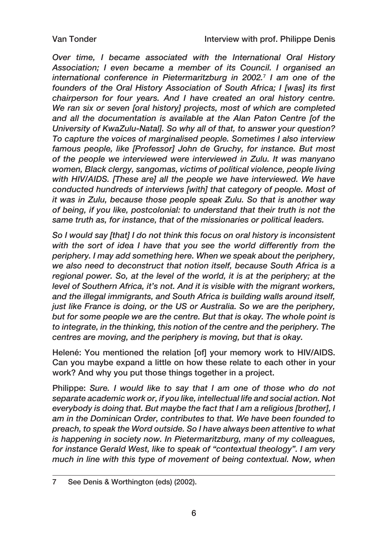*Over time, I became associated with the International Oral History Association; I even became a member of its Council. I organised an international conference in Pietermaritzburg in 2002.*<sup>7</sup>  *I am one of the founders of the Oral History Association of South Africa; I [was] its first chairperson for four years. And I have created an oral history centre. We ran six or seven [oral history] projects, most of which are completed and all the documentation is available at the Alan Paton Centre [of the University of KwaZulu‑Natal]. So why all of that, to answer your question? To capture the voices of marginalised people. Sometimes I also interview famous people, like [Professor] John de Gruchy, for instance. But most of the people we interviewed were interviewed in Zulu. It was manyano women, Black clergy, sangomas, victims of political violence, people living with HIV/AIDS. [These are] all the people we have interviewed. We have conducted hundreds of interviews [with] that category of people. Most of it was in Zulu, because those people speak Zulu. So that is another way of being, if you like, postcolonial: to understand that their truth is not the same truth as, for instance, that of the missionaries or political leaders.* 

*So I would say [that] I do not think this focus on oral history is inconsistent with the sort of idea I have that you see the world differently from the periphery. I may add something here. When we speak about the periphery, we also need to deconstruct that notion itself, because South Africa is a regional power. So, at the level of the world, it is at the periphery; at the level of Southern Africa, it's not. And it is visible with the migrant workers, and the illegal immigrants, and South Africa is building walls around itself, just like France is doing, or the US or Australia. So we are the periphery, but for some people we are the centre. But that is okay. The whole point is to integrate, in the thinking, this notion of the centre and the periphery. The centres are moving, and the periphery is moving, but that is okay.*

Helené: You mentioned the relation [of] your memory work to HIV/AIDS. Can you maybe expand a little on how these relate to each other in your work? And why you put those things together in a project.

Philippe: *Sure. I would like to say that I am one of those who do not separate academic work or, if you like, intellectual life and social action. Not everybody is doing that. But maybe the fact that I am a religious [brother], I am in the Dominican Order, contributes to that. We have been founded to preach, to speak the Word outside. So I have always been attentive to what is happening in society now. In Pietermaritzburg, many of my colleagues, for instance Gerald West, like to speak of "contextual theology". I am very much in line with this type of movement of being contextual. Now, when* 

<sup>7</sup> See Denis & Worthington (eds) (2002).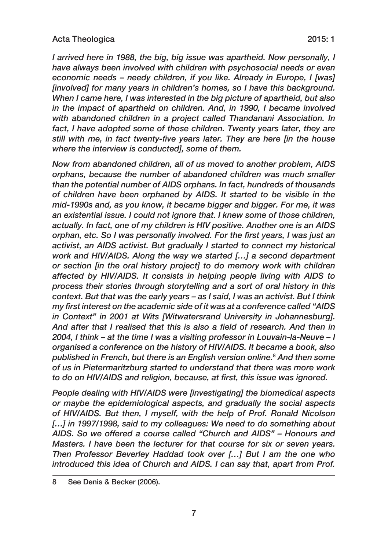# Acta Theologica 2015: 1

*I arrived here in 1988, the big, big issue was apartheid. Now personally, I have always been involved with children with psychosocial needs or even economic needs – needy children, if you like. Already in Europe, I [was] [involved] for many years in children's homes, so I have this background. When I came here, I was interested in the big picture of apartheid, but also in the impact of apartheid on children. And, in 1990, I became involved with abandoned children in a project called Thandanani Association. In*  fact, I have adopted some of those children. Twenty years later, they are *still with me, in fact twenty‑five years later. They are here [in the house where the interview is conducted], some of them.* 

*Now from abandoned children, all of us moved to another problem, AIDS orphans, because the number of abandoned children was much smaller than the potential number of AIDS orphans. In fact, hundreds of thousands of children have been orphaned by AIDS. It started to be visible in the mid‑1990s and, as you know, it became bigger and bigger. For me, it was an existential issue. I could not ignore that. I knew some of those children, actually. In fact, one of my children is HIV positive. Another one is an AIDS orphan, etc. So I was personally involved. For the first years, I was just an activist, an AIDS activist. But gradually I started to connect my historical work and HIV/AIDS. Along the way we started […] a second department or section [in the oral history project] to do memory work with children affected by HIV/AIDS. It consists in helping people living with AIDS to process their stories through storytelling and a sort of oral history in this context. But that was the early years – as I said, I was an activist. But I think my first interest on the academic side of it was at a conference called "AIDS in Context" in 2001 at Wits [Witwatersrand University in Johannesburg]. And after that I realised that this is also a field of research. And then in 2004, I think – at the time I was a visiting professor in Louvain‑la‑Neuve – I organised a conference on the history of HIV/AIDS. It became a book, also published in French, but there is an English version online.*<sup>8</sup>  *And then some of us in Pietermaritzburg started to understand that there was more work to do on HIV/AIDS and religion, because, at first, this issue was ignored.* 

*People dealing with HIV/AIDS were [investigating] the biomedical aspects or maybe the epidemiological aspects, and gradually the social aspects of HIV/AIDS. But then, I myself, with the help of Prof. Ronald Nicolson*  [...] in 1997/1998, said to my colleagues: We need to do something about *AIDS. So we offered a course called "Church and AIDS" – Honours and Masters. I have been the lecturer for that course for six or seven years. Then Professor Beverley Haddad took over […] But I am the one who introduced this idea of Church and AIDS. I can say that, apart from Prof.* 

<sup>8</sup> See Denis & Becker (2006).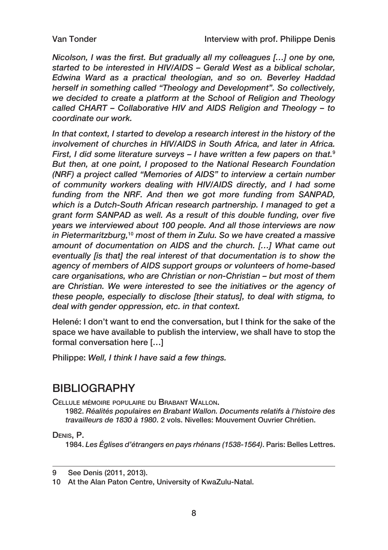*Nicolson, I was the first. But gradually all my colleagues […] one by one, started to be interested in HIV/AIDS – Gerald West as a biblical scholar, Edwina Ward as a practical theologian, and so on. Beverley Haddad herself in something called "Theology and Development". So collectively, we decided to create a platform at the School of Religion and Theology called CHART – Collaborative HIV and AIDS Religion and Theology – to coordinate our work.* 

*In that context, I started to develop a research interest in the history of the involvement of churches in HIV/AIDS in South Africa, and later in Africa. First, I did some literature surveys – I have written a few papers on that.*<sup>9</sup> *But then, at one point, I proposed to the National Research Foundation (NRF) a project called "Memories of AIDS" to interview a certain number of community workers dealing with HIV/AIDS directly, and I had some funding from the NRF. And then we got more funding from SANPAD, which is a Dutch‑South African research partnership. I managed to get a grant form SANPAD as well. As a result of this double funding, over five years we interviewed about 100 people. And all those interviews are now in Pietermaritzburg,*10 *most of them in Zulu. So we have created a massive amount of documentation on AIDS and the church. […] What came out eventually [is that] the real interest of that documentation is to show the agency of members of AIDS support groups or volunteers of home‑based care organisations, who are Christian or non‑Christian – but most of them are Christian. We were interested to see the initiatives or the agency of these people, especially to disclose [their status], to deal with stigma, to deal with gender oppression, etc. in that context.* 

Helené: I don't want to end the conversation, but I think for the sake of the space we have available to publish the interview, we shall have to stop the formal conversation here […]

Philippe: *Well, I think I have said a few things.*

# **BIBLIOGRAPHY**

Cellule mémoire populaire du Brabant Wallon.

1982. *Réalités populaires en Brabant Wallon. Documents relatifs à l'histoire des travailleurs de 1830 à 1980*. 2 vols. Nivelles: Mouvement Ouvrier Chrétien.

# Denis, P.

1984. *Les Églises d'étrangers en pays rhénans (1538‑1564)*. Paris: Belles Lettres.

<sup>9</sup> See Denis (2011, 2013).

<sup>10</sup> At the Alan Paton Centre, University of KwaZulu-Natal.